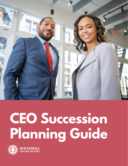

# **CEO Succession Planning Guide**



**NEW SCHOOLS**<br>FOR NEW ORLEANS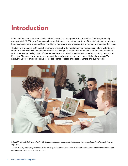### **Introduction**

In the past two years, fourteen charter school boards have changed CEOs or Executive Directors, impacting approximately 18,500 New Orleans public school students—more than one-third of the city's student population. Looking ahead, many founding CEOs hired ten or more years ago are preparing to retire or move on to other roles.

The task of choosing a CEO/Executive Director is arguably the most important responsibility of a charter board. National research shows that teacher turnover has a negative impact on student achievement, $^1$  and principals/ school leaders are the key driver of whether teachers stay or go.2 In New Orleans' charter school system, CEOs/ Executive Directors hire, manage, and support these principals and school leaders. Hiring the wrong CEO/ Executive Director creates negative repercussions for schools, principals, teachers, and our students.



*<sup>1.</sup> Ronfeldt, M., Loeb, S., & Wyckoff, J. (2013). How teacher turnover harms student achievement. American Educational Research Journal, 50(1), 4-36.*

*<sup>2.</sup> Ladd, H. (2011). Teachers' perceptions of their working conditions: How predictive of planned and actual teacher movement? Educational Evaluation and Policy Analysis, 33(2), 235-261.*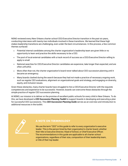NSNO reviewed every New Orleans charter school CEO/Executive Director transition in the past six years, conducting interviews with twenty-two individuals involved in these transitions. We learned that these high stakes leadership transitions are challenging, even under the best circumstances. In this process, a few common themes surfaced:

- **•** Potential internal candidates among the charter organization's leadership team are given little or no opportunity to learn and practice the skills necessary to be a CEO.
- **•** The pool of local external candidates with a track record of success as a CEO/Executive Director willing to apply is small.
- **•** National searches for CEO/Executive Director candidates are expensive, take longer than expected, and are often unfruitful.
- **•** More often than not, the charter organization's board never talked about CEO succession planning until it became an emergency.
- **•** Many boards clashed during the search because they had not made a practice of necessary ongoing work, such as regular CEO evaluations, alignment on organizational goals and strategy, and engaging on diversity, equity, and inclusion issues.

Given these obstacles, many charter boards have struggled to hire a CEO/Executive Director with the requisite competencies and experience to be successful. However, boards can overcome these obstacles through the simple practice of regular CEO succession planning.

At NSNO, our mission is to deliver on the promise of excellent public schools for every child in New Orleans. To do this, we have developed a *CEO Succession Planning Toolkit* to support boards in developing and executing a plan for successful CEO successions. This *CEO Succession Planning Guide* serves as an overview and introduction to additional resources in the toolkit.



#### **A NOTE ON TERMINOLOGY**

We use the term "CEO" in this guide to refer to every organization's executive leader. This is the person hired by their organization's charter board, whether their title is Executive Director, Head of School, or Chief Executive Officer. The recommendations in this guide are applicable to all charter school organizations, regardless of their size, composition of their leadership team, or title of their top leader.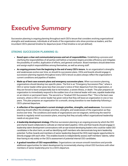## **Executive Summary**

Succession planning is ongoing planning throughout each CEO's tenure that considers evolving organizational strengths and weaknesses, individuals at all levels of the organization who show promise as leaders, and the incumbent CEO's planned timeline for departure (even if that timeline is not yet defined).

#### **STRONG SUCCESSION PLANNING IS:**

- **• Based upon a clear and communicated process and set of responsibilities.** Establishing a process and clarifying the responsibilities of all parties well before a transition begins provides efficiency and mitigates the possibility of conflict, duplication of efforts, and general confusion. Board members should determine and assign explicit responsibilities among themselves, as well as among staff.
- **• An ongoing process from the beginning to the end of every CEO's tenure.** As an organization's strengths and weaknesses evolve over time, so should its succession plans. CEOs and boards should engage in succession planning regularly throughout every CEO's tenure so plans always reflect the organization's current conditions and pipeline of leaders.
- **• Made up of best case scenario plans and emergency succession plans.** When succession planning, organizations should develop two specific plans. The first is an "Emergency Succession Plan," where a CEO or senior leader either gives less than one year's notice of their departure from the organization, or they are forced to leave unexpectedly due to termination, a severe illness, or death. This plan prepares an organization to immediately respond to the sudden loss of an internal leader with new, capable leadership on an interim or permanent basis. The second is a "Gradual CEO Succession Plan." This is the best case scenario, where a CEO or senior leader has given notice that they will leave an organization in one or two years. This plan prepares an organization for a smooth, strong transition to new leadership following a CEO's planned departure.
- **• A reflection of the organization's current strategic priorities, strengths, and weaknesses.** Succession planning should reflect the strategic priorities, strengths, and weaknesses of the organization as they evolve over time. The conditions and needs of organizations are not stagnant, reinforcing the need for boards to regularly revisit succession plans, ensuring that they actually reflect organizational leadership needs at any given time.
- **• A leadership development strategy.** Effective succession planning is an ongoing process by which the CEO and charter board collaborate to cultivate an internal talent pipeline. CEOs and their boards should engage in leadership talent development conversations with an eye toward developing leaders who could be viable CEO candidates in the short term, as well as identifying staff members who demonstrate long-term leadership potential. Further, boards and members of senior leadership (beyond the CEO) need regular opportunities to directly engage with each other. This enables boards to independently assess staff members' talents, rather than having to rely solely on the CEO's assessment of potential internal CEO candidates.
- **• A gradual transition of CEO responsibilities.** Organizations can ensure smooth transitions and provide additional opportunities for talent development by incrementally sharing critical CEO functions with other members of senior leadership prior to a CEO's departure.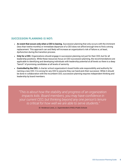#### **SUCCESSION PLANNING IS NOT:**

- **• An event that occurs only when a CEO is leaving.** Succession planning that only occurs with the imminent (less than twelve months) or immediate departure of a CEO does not afford enough time to find a strong replacement. This approach can and likely will increase an organization's risk of failure or, at least, dysfunction during the transition process.
- **• Only for a CEO.** Organizations should engage in succession planning not just for their CEO, but for all leadership positions. While these resources focus on CEO succession planning, the recommendations are applicable to identifying and developing individuals with leadership potential at all levels so there is a deep "bench" of promising candidates at all levels of seniority.
- **• Controlled by the CEO.** A charter school organization's board holds sole responsibility and authority for naming a new CEO. It is wrong for any CEO to assume they can hand-pick their successor. While it should be done in collaboration with the incumbent CEO, succession planning requires independent thinking and leadership by board members.

*"This is about how the stability and progress of an organization impacts kids. Board members, you may have confidence in your current CEO, but thinking beyond any one person's tenure is critical for how well we are able to serve students."*

*Dr. Henderson Lewis, Jr., Superintendent of NOLA Public Schools*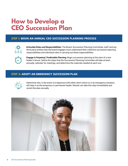### **How to Develop a CEO Succession Plan**

#### **STEP 1: BEGIN AN ANNUAL CEO SUCCESSION PLANNING PROCESS**



**Articulate Roles and Responsibilities:** The Board, Succession Planning Committee, staff, and any third-party entities that the board engages must understand their collective succession planning responsibilities and individual roles in carrying out these responsibilities.



**Engage in Perpetual, Predictable Planning:** Begin succession planning at the start of a new leader's tenure. Define the steps that the Succession Planning Committee will take at least annually, calendar for meetings, and determine the materials needed at each one.

#### **STEP 2: ADOPT AN EMERGENCY SUCCESSION PLAN**



Determine who, in the event of a departure with either short notice or in an emergency situation, will step in as the temporary or permanent leader. Boards can take this step immediately and revisit this plan annually.

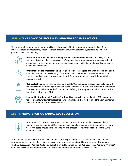#### **STEP 3: TAKE STOCK OF NECESSARY ONGOING BOARD PRACTICES**

The practices below improve a board's ability to deliver on all of their governance responsibilities. Boards must take stock of whether they engage in these practices and, if not, establish systems to do so before gradual succession planning.



**Diversity, Equity, and Inclusion Training/Reflect Upon Personal Biases:** The ability to note personal biases and the limitations of one's perspective is foundational in succession planning, as unspoken criteria springing from personal biases can lead to dysfunction and confusion in selecting a new leader.

**Understanding the Organization's Strategic Priorities, Strengths, and Weaknesses:** The board should have a clear understanding of the organization's strategic priorities, strategic plan, strengths, and weaknesses, as each of these inform the competencies and characteristics needed in a CEO.



**CEO Evaluations:** Boards should conduct a quality CEO evaluation process that is aligned with the organization's strategic priorities and seeks feedback from staff and other key stakeholders. This evaluation will serve as the foundation for defining the competencies/characteristics the board will seek in a new CEO.



**Leadership Development Priorities:** The board is responsible for holding the CEO accountable for progress towards staff leadership development goals that work to build the existing internal bench of potential future CEO candidates.

#### **STEP 4: PREPARE FOR A GRADUAL CEO SUCCESSION**



Boards and CEOs should have regular, honest conversations about the duration of the CEO's tenure. Even if the board and CEO have no plans to make a change in CEO leadership for many years, the board should develop a timeline and process for how they will address the CEO's eventual departure.

The remainder of this guide examines each of these steps in greater detail. To make the best use of these resources, we recommend that boards review this guide in its entirety first. Then, boards should complete The *CEO Succession Planning Workbook*, available on NSNO's website. The *CEO Succession Planning Workbook* should be reviewed and updated annually, as staff and organizational needs evolve over time.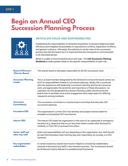### **Begin an Annual CEO Succession Planning Process**



#### **ARTICULATE ROLES AND RESPONSIBILITIES**

Establishing the responsibilities of all parties long before a transition begins provides efficiency and mitigates the possibility of unproductive conflicts, duplication of efforts, and general confusion. Ultimately, the authority to set the rules of the succession process lies with the board, but it is important that this framework is communicated to all interested parties.

Below is a table of recommended actors and roles. The *CEO Succession Planning Workbook* provides greater detail on the specific responsibilities of each role.

| <b>Board of Directors</b><br>/Charter Board    | The charter board is ultimately responsible for all CEO succession work.                                                                                                                                                                                                                                                                                                                                                                                                                                                                  |
|------------------------------------------------|-------------------------------------------------------------------------------------------------------------------------------------------------------------------------------------------------------------------------------------------------------------------------------------------------------------------------------------------------------------------------------------------------------------------------------------------------------------------------------------------------------------------------------------------|
| <b>Succession Planning</b><br>Leader           | This is a board member designated by the full board to ensure the board carries out<br>all of its responsibilities related to succession planning. Ideally, this is someone<br>who has experience with leadership succession planning and human resources<br>work, and appreciates the sensitivity and importance of these discussions. As<br>a general rule, the designated Succession Planning Leader should not be the<br>board chair to facilitate more active engagement and create space for differing<br>viewpoints among members. |
| <b>Succession</b><br><b>Committee(s)</b>       | The succession committee is a charter board committee that executes CEO<br>succession planning.                                                                                                                                                                                                                                                                                                                                                                                                                                           |
| <b>Incumbent CEO</b>                           | The organization's current CEO must develop and prepare internal talent for<br>emergency and gradual CEO successions.                                                                                                                                                                                                                                                                                                                                                                                                                     |
| <b>Interim CEO</b>                             | The Interim CEO leads the organization in the event of an unplanned or emergency<br>transition (e.g. departure that occurs less than twelve months after the board is<br>notified), or if the CEO is removed from office.                                                                                                                                                                                                                                                                                                                 |
| <b>Senior staff and</b><br>other key staff     | Roles and responsibilities will vary depending on the organization; but, staff should<br>be well informed about what role they play and, importantly, do not play, in a CEO<br>transition.                                                                                                                                                                                                                                                                                                                                                |
| <b>Key organization</b><br><b>stakeholders</b> | In certain instances, boards have found it helpful to include key stakeholders<br>(outside of the board and staff) in the transition process. This involvement should<br>be limited and clearly defined in a predetermined framework.                                                                                                                                                                                                                                                                                                     |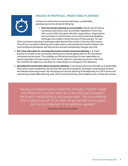#### **ENGAGE IN PERPETUAL, PREDICTABLE PLANNING**

A board can ensure that succession planning is a predictable, perpetual practice by doing the following:

1. **Start succession planning as soon possible.** Boards should take up succession planning as soon as possible, regardless of how long their current CEOs have been with their organizations. Organizations are more likely to avoid the topic of succession planning altogether the longer into a leader's tenure they put off discussing it. For new

CEOs, succession planning should begin within the first few months of the new CEO's tenure. This will turn succession planning into a habit, which is also beneficial to board members who must familiarize themselves with the process as board membership changes over time.

- 2. **Set a time and a place for recurring discussions around succession planning.** It is a best practice for boards to set succession planning as an annual agenda item for the succession committee and the board. This solidifies an official time and place for key stakeholders to spend meaningful time discussing a CEO's tenure, steps for a planned succession if that CEO has a timeline for departure, and steps for responding to an emergency CEO departure.
- 3. **Normalize the conversation about succession planning.** If succession planning is brought up unexpectedly, CEOs and/or senior leadership may feel that their jobs are in jeopardy, causing an unnecessarily strained and awkward planning process. By introducing succession planning at the beginning of a CEO's tenure and maintaining a predictable planning cycle, CEOs can be discerning, clear-headed voices in those discussions.

*"Having just experienced a leadership transition myself, I made sure that one of my first steps as a new CEO was to support the board in establishing a succession plan. This is something that is easy to put off since other things can feel more urgent but it is too important to not address regularly."*

*Sabrina Pence, CEO of FirstLine Schools*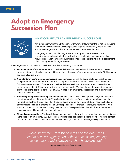### **Adopt an Emergency Succession Plan**



#### **WHAT CONSTITUTES AN EMERGENCY SUCCESSION?**

Any instance in which the CEO departs with twelve or fewer months of notice, including circumstances in which the CEO resigns, dies, departs immediately due to an illness and/or an emergency, or if the board immediately terminates the CEO.

Emergency succession planning is an opportunity for boards to assess the organization's pipeline of talent, as well as the competencies and characteristics required in a leader. Furthermore, emergency succession planning is a critical element of risk management for organizations.

An emergency CEO succession plan should include the following components:

- 1. **Responsibilities of the incumbent CEO:** The board should work annually with the current CEO to take inventory of and list their key responsibilities so that in the event of an emergency, an Interim CEO is able to continue all critical work.
- 2. **Named interim and/or permanent leader:** Unless there is someone the board could reasonably consider as a permanent CEO candidate, the board will likely need to name an Interim CEO to serve immediately following the outgoing CEO's departure. The board should seek input from the current CEO and other members of senior staff to determine the named interim leader. The board must then seek this person's permission to include them as the Interim CEO in case of an emergency succession and must revisit this choice on an annual basis.
- 3. **Temporary changes in leadership and responsibilities:** Of the CEO's key responsibilities, there are some that other members of the senior staff may be better suited to perform on a temporary basis than the Interim CEO. Further, the individual that the board designates as the Interim CEO may need to shed some of their responsibilities in order to take on CEO responsibilities. For these reasons, the board must work with the current CEO to map out not only the Interim CEO's responsibilities, but also how an emergency succession would impact all other senior leaders.
- 4. **Planned communications:** The board should map out and regularly revisit communications that must occur in the case of an emergency CEO succession. This includes designating a board member who will contact the Interim CEO as well as the communications that will go out to staff, families, and key stakeholders.

*"What I know for sure is that boards and top executives need to have emergency and defined succession planning conversations well in advance, when heads are cool."*

*Latoye Brown, CEO of Audubon Schools*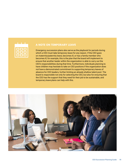

#### **A NOTE ON TEMPORARY LEAVE**

Emergency succession plans also serve as the playbook for periods during which a CEO must take temporary leave for any reason. If the CEO goes on maternity/paternity leave, becomes ill, or has a family member who becomes ill, for example, this is the plan that the board will implement to ensure that another leader within the organization is able to carry out the CEO's responsibilities during that time. Furthermore, individuals planning to have children may hesitate to take on CEO positions if the organization does not have a demonstrated commitment to supporting temporary leaves of absence for CEO leaders, further limiting an already shallow talent pool. The board is responsible not only for selecting the CEO, but also for ensuring that the CEO has the support that they need for their job to be sustainable, and temporary leave plans can help with this.

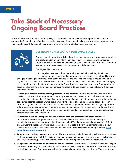### **Take Stock of Necessary Ongoing Board Practices**

The practices below improve a board's ability to deliver on all of their governance responsibilities, and are a prerequisite foundation for effective succession planning. Boards should take stock of whether they engage in these practices and, if not, establish systems to do so prior to gradual succession planning.



#### **DEI TRAINING/REFLECT ON PERSONAL BIASES**

Boards typically consist of individuals with varying personal and professional identities and backgrounds that can inform individual biases, preferences, and concerns. Organizations frequently find that challenging successions result from board members evaluating candidates based upon unspoken and differing criteria.

To mitigate this, boards should:

1. **Regularly engage in diversity, equity, and inclusion training.** Implicit bias regarding race, gender, and other factors is problematic. If your board has never

engaged in trainings and/or facilitated conversations around biases and privilege, it should do so on a regular basis to ensure that the board works from a place of fidelity when evaluating candidates of varying races, genders, other identities, and backgrounds. Beyond succession planning, all New Orleans schools serve mostly minority or diverse populations, and a board is doing a disservice to its students if it does not take this seriously.

- 2. **Go through a process of airing biases, preferences, and concerns.** Boards should take the opportunity to reflect upon and voice any personal concerns, preferences, or biases that may influence their views regarding the best candidate. This makes everyone aware of unspoken criteria that some may be evaluating candidates against, especially when they have nothing to do with candidates' actual capabilities. For example, organizations tend to overemphasize a candidate's age, where they went to college or graduate school, what degrees they earned, whether they need to relocate, or commuting length for the job. These variables do not correlate with performance, and boards should not consider them to be as important as performance-based qualifications.
- 3. **Understand the unique competencies and skills required of a charter school organization CEO.**  While there are some competencies and skills that would enable a CEO to succeed in leading any organization or business, many are uniquely necessary in CEOs of charter school organizations. NSNO and Bellwether Education Partners have created a tool that details the critical competencies of a New Orleans charter school CEO, which can be found in NSNO's *CEO Succession Planning Toolkit* on **[www.](http://www.newschoolsforneworleans.org) [newschoolsforneworleans.org](http://www.newschoolsforneworleans.org)**.
- 4. **Apply scrutiny to shiny pennies.** Boards should not immediately default to naming a charismatic candidate as their organization's next CEO. It is important to recognize that people can pose as superficially polished or overly charismatic, particularly if someone is coming from a place outside of the organization.
- 5. **Be open to candidates with major strengths and weaknesses.** It is important for boards to maintain an open mind when evaluating CEO candidates. A person who has major strengths but does not check all of the boxes on the list of ideal qualifications could still be the best candidate to lead the organization. The strengths may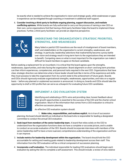be exactly what is needed to achieve the organization's vision and strategic goals, while weaknesses or gaps in experience can be mitigated through coaching or investment in additional staff support.

6. **Consider involving a third-party to facilitate ongoing planning, support discussion, and mediate conflicting opinions.** While boards are fully authorized to carry out the process of naming a new CEO on their own, some organizations find that having a third-party facilitator helps the board to implement these practices. Further, a third-party facilitator can provide an objective perspective.



#### **UNDERSTAND THE ORGANIZATION'S STRATEGIC PRIORITIES, STRENGTHS, AND WEAKNESSES**

Many failed or painful CEO transitions are the result of misalignment of board members, staff, and stakeholders on the organization's current strengths, weaknesses, and strategy. In particular, leadership selections that inadvertently become a proxy battle over vision and strategy result in long-term harm to the organizations they are intended to benefit. Competing views on what is most important for the organization can make it difficult for board members to agree on the best candidate.

Before seeking a replacement for an incumbent, it is critical that the board agrees upon the strengths, weaknesses, opportunities, and risks facing the organization. Board alignment on short- and long-term priorities can then inform experiences, competencies, and personal traits required in the next CEO. Organizations that have clear, strategic direction can determine what a future leader should look like in terms of the experience and skills they must possess to take the organization from its current state to the achievement of future goals. Boards and CEOs should rigorously evaluate organizational strengths, weaknesses, opportunities, and risks on a regular basis – before any planned or unplanned succession is announced. In doing so, boards and CEOs should take the opportunity to draft a CEO profile that can serve as a blueprint for evaluating future CEO candidates.

| M                                            |
|----------------------------------------------|
| Ø                                            |
| $\overline{\mathbf{x}}$<br><b>STATISTICS</b> |
| c.<br>the control of the con-                |
|                                              |

#### **IMPLEMENT A CEO EVALUATION SYSTEM**

Identifying and celebrating a CEO's wins and providing clear, honest feedback about their growth opportunities is essential to the success of the CEO and the charter school organization. Much of the information that comes from a CEO evaluation is critical to effective succession planning.

An effective CEO evaluation system should:

#### 1. **Make roles, responsibilities, and routines explicit.** As is true of succession

planning, the board should identify an individual on the board who is responsible for leading a designated committee to conduct the annual CEO evaluation.

- 2. **Seek input from members of the senior leadership team.** A board that relies solely on the CEO to understand how the organization functions does not have a complete or accurate picture, and is unable to conduct an accurate evaluation of the CEO. Boards should incorporate interviews with members of the senior leadership staff to have a more nuanced, comprehensive understanding of the organization and how it can improve.
- 3. **Include metrics for leadership development within the organization.** The board should hold the CEO accountable for setting and meeting goals related to leadership development across their staff. This information from the CEO evaluation will be a critical component of succession planning.
- 4. **Incorporate a self evaluation.** The individual responsible for leading CEO evaluations should begin each evaluation by asking the CEO to complete a self assessment. This should include: a review of wins relative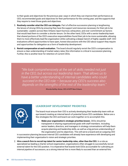to their goals and objectives for the previous year; ways in which they can improve their performance as CEO; recommended goals and objectives for their performance for the coming year; and the supports that they require to meet those goals and objectives.

- 5. **Routinely consider what the CEO can delegate.** Part of effective succession planning is lengthening the tenure of strong CEOs by ensuring they have the support and resources necessary for their job to be sustainable. Leaders across New Orleans report burnout, exhaustion, and over-commitment as factors that would lead them to consider a shorter tenure. On the other hand, CEOs with a senior leadership team that shared portions of the CEO's executive responsibilities found their job to be more sustainable, allowing them to more effectively lead the organization while cultivating a deeper bench of highly capable staff. CEO evaluations afford opportunities to have open, honest discussions with the CEO about support they require and opportunities for delegation as a form of leadership development.
- 6. **Revisit compensation at each evaluation.** The board should regularly revisit the CEO's compensation to ensure a clear understanding of market salary rates; this information is critical in succession planning. Further, this is another lever for retention of current CEOs.

*"We look comprehensively at the set of skills needed not just in the CEO, but across our leadership team. That allows us to have a better understanding of internal candidates who could succeed in the CEO role — because any CEO's success also depends on the strengths of the rest of the leadership team."*

*Rhonda Kalifey-Aluise, CEO of KIPP New Orleans*



#### **LEADERSHIP DEVELOPMENT PRIORITIES**

The board must ensure their CEO is actively developing their leadership team with an eye toward creating an internal bench of potential future CEO candidates. Below are a few strategies the CEO and board can work together on to accomplish this.

1. **Make your organization's strategic priorities known.** CEOs should be transparent in sharing organizational goals with staff members. Including senior leaders, directors, and managers in strategy conversations will help them acquire planning and leadership skills, as well as a big picture understanding of the organization and its objectives. This will serve a board and an outgoing CEO

in succession planning because internal CEO candidates will already have experience with developing and implementing their organization's vision and strategic priorities.

2. **Hire a search firm to recruit top talent for senior leadership roles, other than the CEO.** In a role as specialized as leading a charter school organization, organizations often struggle to successfully recruit external talent for the CEO position. It is imperative that boards hold CEOs accountable for cultivating an internal pipeline of successors, as a strong internal hire is more likely to succeed than an external hire.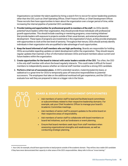Organizations can bolster the talent pipeline by hiring a search firm to recruit for senior leadership positions other than the CEO, such as Chief Operating Officer, Chief Finance Officer, or Chief Development Officer. These recruits then have opportunities to learn about the organization over a longer period of time, while increasing the internal pipeline of potential CEO candidates.

- 3. **Provide training and opportunities for professional growth to members of the staff.** As CEOs identify potential future leaders within their organization, they should provide those individuals with professional growth opportunities. This should include coaching or mentoring programs, cross-training initiatives<sup>1</sup> that provide leaders with exposure to projects outside of their usual domain, and external professional development. These types of programs are investments in the organization's future, as they provide employees with opportunities to work at the next level of seniority. Throughout their tenure, CEOs should actively identify individuals in their organization who are qualified to take advantage of such opportunities.
- 4. **Keep the board informed of staff members who are high-performing.** Boards are responsible for holding CEOs accountable regarding updates on talent development within the organization. They should require regular updates that maintain a flow of information between CEOs and board members about current and future leaders within the organization.
- 5. **Create opportunities for the board to interact with senior leaders outside of the CEO.** Too often, the CEO is the only staff member with whom the board regularly interacts. This could make it difficult for board members to independently assess whether an internal staff member would be a strong CEO candidate.
- 6. **Perform a trial run of succession plans.** A CEO's extended vacation, maternity/paternity leave, or sabbatical is a great time for CEOs to temporarily pass off executive responsibilities to potential successors. The employees that take on the additional workload will gain experience, and the CEO can evaluate how well they are prepared to take on a bigger role in the future.

#### **BOARD & SENIOR STAFF ENGAGEMENT OPPORTUNITIES**

- **•** Ask members of senior staff to lead and facilitate board committees or subcommittees related to their respective leadership domains. For example, ask your Chief Academic Officer to manage your board's Academic Committee meetings.
- **•** Ask members of senior staff to present updates to the entire board on their respective areas of responsibility.
- **•** Ask members of senior staff to collaborate with board members on board-led initiatives, such as fundraisers or event planning.
- **•** Ensure that board members seek input from staff members when assessing organizational strengths and weaknesses, as well as conducting strategic planning.

*<sup>1.</sup> Your CAO, for example, should have opportunities to lead projects outside of the academic domain. They will be a less viable CEO candidate if they have never demonstrated their capacity in other areas of the CEO's responsibilities. Many refer to this as "cross training."*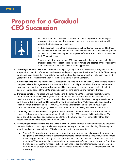### **Prepare for a Gradual CEO Succession**



Even if the board and CEO have no plans to make a change in CEO leadership for many years, the board should develop a timeline and process for how they will address the CEO's eventual departure.

All CEOs eventually leave their organizations, so boards must be prepared for these inevitable departures. Much of the work necessary to facilitate a successful, gradual succession process must happen many years before the board and CEO know when the CEO plans to leave.

Boards should develop a gradual CEO succession plan that addresses each of the practices below; these practices should be reviewed and updated annually during the board's dedicated annual succession planning process.

- 1. **Checking in with the CEO:** While this seems like a given, many boards actively avoid asking their CEO the simple, direct question of whether they have decided upon a departure time frame. Even if the CEO can only be as specific as saying they have determined the broad window during which they will depart (e.g., 5-10 years), that is still critical information for the board's ability to effectively plan.
- 2. **Notification timeline:** The board and CEO must agree to a timeline in which the CEO will notify the board if they plan to leave the organization. At a minimum, the CEO should plan to inform the board twelve months in advance of departure—anything shorter should be considered an emergency succession. Ideally, the board will have a sense of the CEO's intended departure time frame several years in advance.
- 3. **Transition timeline:** The board and CEO must define the outgoing CEO's responsibilities following the board's selection of a new CEO. Regardless of whether the board selects an internal or an external candidate, the outgoing CEO should commit in advance to a period of time in which they are available to both the new CEO and the board to support the new CEO's onboarding. While this can be considerably less time for an internal candidate, a new CEO who was an external candidate should have regular communication with the outgoing CEO for at least three months following the new CEO's start date.
- 4. **Offloading CEO responsibilities:** This goes hand-in-hand with CEO Evaluations; but, the board and CEO should collaborate to maintain a current and detailed list of the CEO's responsibilities at all times. The board and CEO should use this to roughly plan for how the CEO will begin to immediately offload key responsibilities when the board selects a new CEO.
- 5. **Developing talent towards the end of a CEO's tenure:** As CEOs approach the end of their tenure, they must carry out the final critical steps of talent development that support succession planning. These steps will vary, depending on how much time CEOs have before leaving an organization.
	- **•** When a CEO knows they will be leaving an organization in the next one or two years, they must start delegating executive functions to senior staff members. In interviews we conducted, charter school leaders suggested this "passing off" of responsibilities should account for no more than 10% of an outgoing CEO's time when they are around the two-year mark before a planned departure. Over time, they should increase the number of duties transitioned to senior staff members. This gives internal staff members an opportunity to grow and prove their standing as viable CEO candidates when the time is right.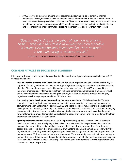**•** A CEO leaving on a shorter timeline must accelerate delegating duties to potential internal candidates; the key, however, is to share responsibilities incrementally. Because the time frame to transition executive responsibilities is limited, the CEO must work more closely with those individuals to set them up for success. An outgoing CEO should focus on reassigning their most critical roles and responsibilities, finally committing to letting their team take charge without interference.

*"Boards need to discuss the bench of talent on an ongoing basis — even when they do not know when their top executive is leaving. Developing local talent benefits CMOs so much more than relying on national recruits."*

*Kevin Gutierrez, Governance Director for Louisiana Association of Public Charter Schools*

#### **COMMON PITFALLS IN SUCCESSION PLANNING**

Interviews with local charter organizations and national research identify several common challenges in CEO succession planning:

- **• Lack of advance planning or failing to think ahead:** Too often, organizations get caught up in the day-today work of running a charter school or network, putting off necessary conversations around succession planning. They put themselves at risk of being in a vulnerable position if their CEO leaves and takes important organizational information with them without a comprehensive transition plan. Boards must adopt the mindset that succession planning is a priority, as well as an ongoing process. In doing so, organizations will always be prepared for a CEO departure.
- **• Not treating talent development as something that concerns a board:** While boards and CEOs have separate, respective roles in governing versus managing an organization, there are overlapping areas of involvement, such as talent development. A CEO and board members may decline to discuss talent development because they incorrectly perceive it as something solely within the CEO's realm of managing the organization. Instead, boards must be informed of talent development initiatives and understand how staff members are performing to best evaluate the capacity of current and future leaders within their organization as potential CEO candidates.
- **• Ignoring internal dynamics:** Boards must use their professional judgment to name the best possible candidate for the CEO role. Ideally, any individual who is not selected for the position understands it is because they were not the best candidate. However, this is not always the case. Too often, there is a certain dynamic or "politics" that creates internal drama after a new CEO is named. Someone within the organization feels unfairly evaluated, or, several people within the organization feel that the person who is named as next CEO does not deserve the role. Outgoing CEOs are primarily responsible for evaluating the internal dynamics of their organization and mitigating personnel conflicts that challenge succession plans. Boards should also make a point to follow up with internal staff members who formally apply for the CEO role and do not get the position.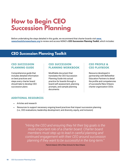### **How to Begin CEO Succession Planning**

Before undertaking the steps detailed in this guide, we recommend that charter boards visit **[www.](http://www.newschoolsforneworleans.org) [newschoolsforneworleans.org](http://www.newschoolsforneworleans.org)** to review and access NSNO's *CEO Succession Planning Toolkit*, which includes:

### **CEO Succession Planning Toolkit**

#### **CEO SUCCESSION PLANNING GUIDE**

Comprehensive guide that includes detailed information on best practices and steps every charter board should take to develop CEO succession plans

#### **CEO SUCCESSION PLANNING WORKBOOK**

Modifiable document that translates the CEO Succession Planning Guide into actual practice for boards through a board self-assessment, planning prompts, and sample planning documents

#### **CEO PROFILE & CEO PLAYBOOK**

Resource developed in partnership with Bellwether Education Partners to detail the profile and competencies of successful New Orleans charter organization CEOs

#### **ADDITIONAL RESOURCES**

- **•** Articles and research
- **•** Resources to support necessary ongoing board practices that impact succession planning (i.e., CEO evaluations; leadership development; and diversity, equity, and inclusion)

*"Hiring the CEO and ensuring they hit their big goals is the most important role of a charter board. Charter board members must step up to lead in careful planning and continued engagement with their CEO around succession planning if they want to be successful in the long-term."*

*Patrick Dobard, CEO of New Schools for New Orleans*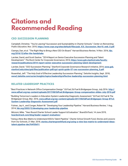### **Citations and Recommended Reading**

#### **CEO SUCCESSION PLANNING**

Campbell, Christine. "You're Leaving? Succession and Sustainability in Charter Schools." *Center on Reinventing Public Education*, Nov. 2010, **[https://www.crpe.org/sites/default/files/pub\\_ICS\\_Succession\\_Nov10\\_web\\_0.pdf](https://www.crpe.org/sites/default/files/pub_ICS_Succession_Nov10_web_0.pdf)**.

Ciampa, Dan, et al. "The Right Way to Bring a New CEO On Board." *Harvard Business Review*, 14 Nov. 2016, **[hbr.](http://hbr.org/2016/12/after-the-handshake) [org/2016/12/after-the-handshake](http://hbr.org/2016/12/after-the-handshake)**.

Larcker, David, and Scott Saslow. "2014 Report on Senior Executive Succession Planning and Talent Development." *The Rock Center for Corporate Governance*, 2014, **[https://www.gsb.stanford.edu/faculty](https://www.gsb.stanford.edu/faculty-research/publications/2014-report-senior-executive-succession-planning-talent-development)[research/publications/2014-report-senior-executive-succession-planning-talent-development](https://www.gsb.stanford.edu/faculty-research/publications/2014-report-senior-executive-succession-planning-talent-development)**.

Larcker, David. "CEO Succession Planning." *Stanford Corporate Governance Research Initiative*, 2014, **[www.gsb.](http://www.gsb.stanford.edu/sites/gsb/files/publication-pdf/cgri-quick-guide-07-ceo-succession-planning_0.pdf) [stanford.edu/sites/gsb/files/publication-pdf/cgri-quick-guide-07-ceo-succession-planning\\_0.pdf](http://www.gsb.stanford.edu/sites/gsb/files/publication-pdf/cgri-quick-guide-07-ceo-succession-planning_0.pdf)**.

Rosenthal, Jeff. "The Holy Grail of Effective Leadership Succession Planning." *Deloitte Insights*, Sept. 2018, **[www2.deloitte.com/us/en/insights/topics/leadership/effective-leadership-succession-planning.html](http://www2.deloitte.com/us/en/insights/topics/leadership/effective-leadership-succession-planning.html)**.

#### **RELATED LEADERSHIP PRACTICES**

"Best Practices in Network Office Compensation Design." *Ed Fuel*, Ed Fuel & Bridgespan Group, July 2016. **[http://](http://www.edfuel.org/wp-content/uploads/2017/08/EdFuel.Bridgespan-Group-compensation-slides-July-2016.pdf) [www.edfuel.org/wp-content/uploads/2017/08/EdFuel.Bridgespan-Group-compensation-slides-July-2016.pdf](http://www.edfuel.org/wp-content/uploads/2017/08/EdFuel.Bridgespan-Group-compensation-slides-July-2016.pdf)**

"Building Tomorrow's Leaders in Education System Leadership Diagnostic Assessment." *Ed Fuel*, Ed Fuel & The Bridgespan Group, Mar. 2016, **[www.edfuel.org/wp-content/uploads/2017/08/EdFuel.Bridgespan-Group-BTLE-](http://www.edfuel.org/wp-content/uploads/2017/08/EdFuel.Bridgespan-Group-BTLE-System-Leadership-Diagnostic-Assessment.pdf)[System-Leadership-Diagnostic-Assessment.pdf](http://www.edfuel.org/wp-content/uploads/2017/08/EdFuel.Bridgespan-Group-BTLE-System-Leadership-Diagnostic-Assessment.pdf)**.

Fulmer, Jay A., and Conger, Robert M. "Developing Your Leadership Pipeline." *Harvard Business Review*, 1 Aug. 2014, **[hbr.org/2003/12/developing-your-leadership-pipeline](http://hbr.org/2003/12/developing-your-leadership-pipeline)**.

Mizzoni, Mike. "Year-Round Charter School Leader Support & Evaluation." *BoardOnTrack*, 14 June 2019, **[boardontrack.com/blog/leader-support-evaluation/](http://boardontrack.com/blog/leader-support-evaluation/)**.

"Using a Nine-Box Matrix to Understand IDEA's Talent Pipeline." *Charter School Growth Fund, Stories and Lessons from Our Schools*, 21 Mar. 2018, **[stories.chartergrowthfund.org/using-a-nine-box-matrix-to-understand-ideas](http://stories.chartergrowthfund.org/using-a-nine-box-matrix-to-understand-ideas-talent-pipeline-dec764f30d11)[talent-pipeline-dec764f30d11](http://stories.chartergrowthfund.org/using-a-nine-box-matrix-to-understand-ideas-talent-pipeline-dec764f30d11)**.